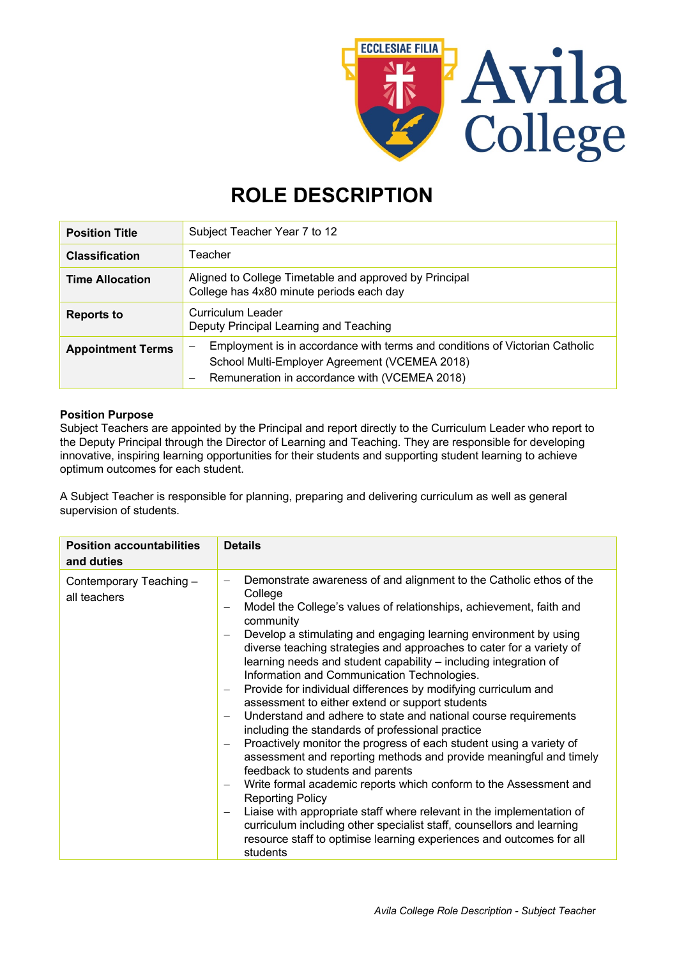

# **ROLE DESCRIPTION**

| <b>Position Title</b>    | Subject Teacher Year 7 to 12                                                                                                                                                                                   |
|--------------------------|----------------------------------------------------------------------------------------------------------------------------------------------------------------------------------------------------------------|
| <b>Classification</b>    | Teacher                                                                                                                                                                                                        |
| <b>Time Allocation</b>   | Aligned to College Timetable and approved by Principal<br>College has 4x80 minute periods each day                                                                                                             |
| <b>Reports to</b>        | Curriculum Leader<br>Deputy Principal Learning and Teaching                                                                                                                                                    |
| <b>Appointment Terms</b> | Employment is in accordance with terms and conditions of Victorian Catholic<br>-<br>School Multi-Employer Agreement (VCEMEA 2018)<br>Remuneration in accordance with (VCEMEA 2018)<br>$\overline{\phantom{0}}$ |

### **Position Purpose**

Subject Teachers are appointed by the Principal and report directly to the Curriculum Leader who report to the Deputy Principal through the Director of Learning and Teaching. They are responsible for developing innovative, inspiring learning opportunities for their students and supporting student learning to achieve optimum outcomes for each student.

A Subject Teacher is responsible for planning, preparing and delivering curriculum as well as general supervision of students.

| <b>Position accountabilities</b><br>and duties | <b>Details</b>                                                                                                                                                                                                                                                                                                                                                                                                                                                                                                                                                                                                                                                                                                                                                                                                                                                                                                                                                                                                                                                                                                                                                                                                                        |
|------------------------------------------------|---------------------------------------------------------------------------------------------------------------------------------------------------------------------------------------------------------------------------------------------------------------------------------------------------------------------------------------------------------------------------------------------------------------------------------------------------------------------------------------------------------------------------------------------------------------------------------------------------------------------------------------------------------------------------------------------------------------------------------------------------------------------------------------------------------------------------------------------------------------------------------------------------------------------------------------------------------------------------------------------------------------------------------------------------------------------------------------------------------------------------------------------------------------------------------------------------------------------------------------|
| Contemporary Teaching-<br>all teachers         | Demonstrate awareness of and alignment to the Catholic ethos of the<br>College<br>Model the College's values of relationships, achievement, faith and<br>community<br>Develop a stimulating and engaging learning environment by using<br>diverse teaching strategies and approaches to cater for a variety of<br>learning needs and student capability – including integration of<br>Information and Communication Technologies.<br>Provide for individual differences by modifying curriculum and<br>assessment to either extend or support students<br>Understand and adhere to state and national course requirements<br>including the standards of professional practice<br>Proactively monitor the progress of each student using a variety of<br>assessment and reporting methods and provide meaningful and timely<br>feedback to students and parents<br>Write formal academic reports which conform to the Assessment and<br>-<br><b>Reporting Policy</b><br>Liaise with appropriate staff where relevant in the implementation of<br>$\overline{\phantom{0}}$<br>curriculum including other specialist staff, counsellors and learning<br>resource staff to optimise learning experiences and outcomes for all<br>students |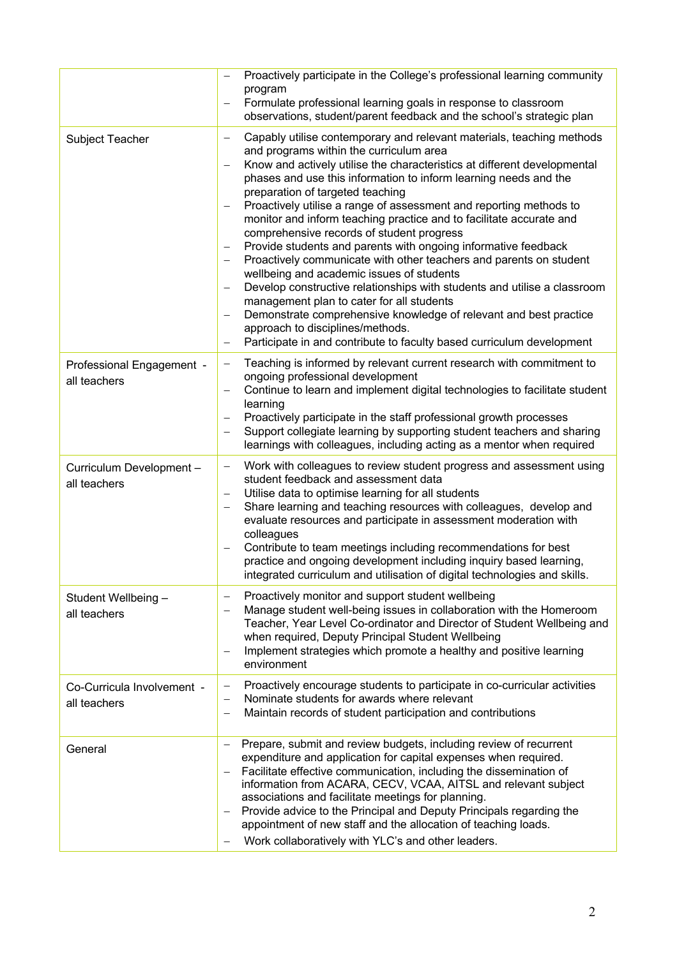|                                            | Proactively participate in the College's professional learning community<br>program<br>Formulate professional learning goals in response to classroom<br>$\overline{\phantom{0}}$<br>observations, student/parent feedback and the school's strategic plan                                                                                                                                                                                                                                                                                                                                                                                                                                                                                                                                                                                                                                                                                                                                                                                                                                                             |
|--------------------------------------------|------------------------------------------------------------------------------------------------------------------------------------------------------------------------------------------------------------------------------------------------------------------------------------------------------------------------------------------------------------------------------------------------------------------------------------------------------------------------------------------------------------------------------------------------------------------------------------------------------------------------------------------------------------------------------------------------------------------------------------------------------------------------------------------------------------------------------------------------------------------------------------------------------------------------------------------------------------------------------------------------------------------------------------------------------------------------------------------------------------------------|
| <b>Subject Teacher</b>                     | Capably utilise contemporary and relevant materials, teaching methods<br>-<br>and programs within the curriculum area<br>Know and actively utilise the characteristics at different developmental<br>-<br>phases and use this information to inform learning needs and the<br>preparation of targeted teaching<br>Proactively utilise a range of assessment and reporting methods to<br>$\overline{\phantom{0}}$<br>monitor and inform teaching practice and to facilitate accurate and<br>comprehensive records of student progress<br>Provide students and parents with ongoing informative feedback<br>-<br>Proactively communicate with other teachers and parents on student<br>wellbeing and academic issues of students<br>Develop constructive relationships with students and utilise a classroom<br>$\qquad \qquad -$<br>management plan to cater for all students<br>Demonstrate comprehensive knowledge of relevant and best practice<br>$\overline{\phantom{0}}$<br>approach to disciplines/methods.<br>Participate in and contribute to faculty based curriculum development<br>$\overline{\phantom{0}}$ |
| Professional Engagement -<br>all teachers  | Teaching is informed by relevant current research with commitment to<br>$\qquad \qquad -$<br>ongoing professional development<br>Continue to learn and implement digital technologies to facilitate student<br>$\overline{\phantom{0}}$<br>learning<br>Proactively participate in the staff professional growth processes<br>$\overline{\phantom{0}}$<br>Support collegiate learning by supporting student teachers and sharing<br>-<br>learnings with colleagues, including acting as a mentor when required                                                                                                                                                                                                                                                                                                                                                                                                                                                                                                                                                                                                          |
| Curriculum Development-<br>all teachers    | Work with colleagues to review student progress and assessment using<br>$\qquad \qquad -$<br>student feedback and assessment data<br>Utilise data to optimise learning for all students<br>-<br>Share learning and teaching resources with colleagues, develop and<br>-<br>evaluate resources and participate in assessment moderation with<br>colleagues<br>Contribute to team meetings including recommendations for best<br>-<br>practice and ongoing development including inquiry based learning,<br>integrated curriculum and utilisation of digital technologies and skills                                                                                                                                                                                                                                                                                                                                                                                                                                                                                                                                     |
| Student Wellbeing -<br>all teachers        | Proactively monitor and support student wellbeing<br>-<br>Manage student well-being issues in collaboration with the Homeroom<br>$\overline{\phantom{0}}$<br>Teacher, Year Level Co-ordinator and Director of Student Wellbeing and<br>when required, Deputy Principal Student Wellbeing<br>Implement strategies which promote a healthy and positive learning<br>$\overline{\phantom{0}}$<br>environment                                                                                                                                                                                                                                                                                                                                                                                                                                                                                                                                                                                                                                                                                                              |
| Co-Curricula Involvement -<br>all teachers | Proactively encourage students to participate in co-curricular activities<br>$\qquad \qquad -$<br>Nominate students for awards where relevant<br>$\qquad \qquad -$<br>Maintain records of student participation and contributions<br>-                                                                                                                                                                                                                                                                                                                                                                                                                                                                                                                                                                                                                                                                                                                                                                                                                                                                                 |
| General                                    | Prepare, submit and review budgets, including review of recurrent<br>$\qquad \qquad -$<br>expenditure and application for capital expenses when required.<br>Facilitate effective communication, including the dissemination of<br>$\qquad \qquad -$<br>information from ACARA, CECV, VCAA, AITSL and relevant subject<br>associations and facilitate meetings for planning.<br>Provide advice to the Principal and Deputy Principals regarding the<br>$\overline{\phantom{0}}$<br>appointment of new staff and the allocation of teaching loads.<br>Work collaboratively with YLC's and other leaders.<br>—                                                                                                                                                                                                                                                                                                                                                                                                                                                                                                           |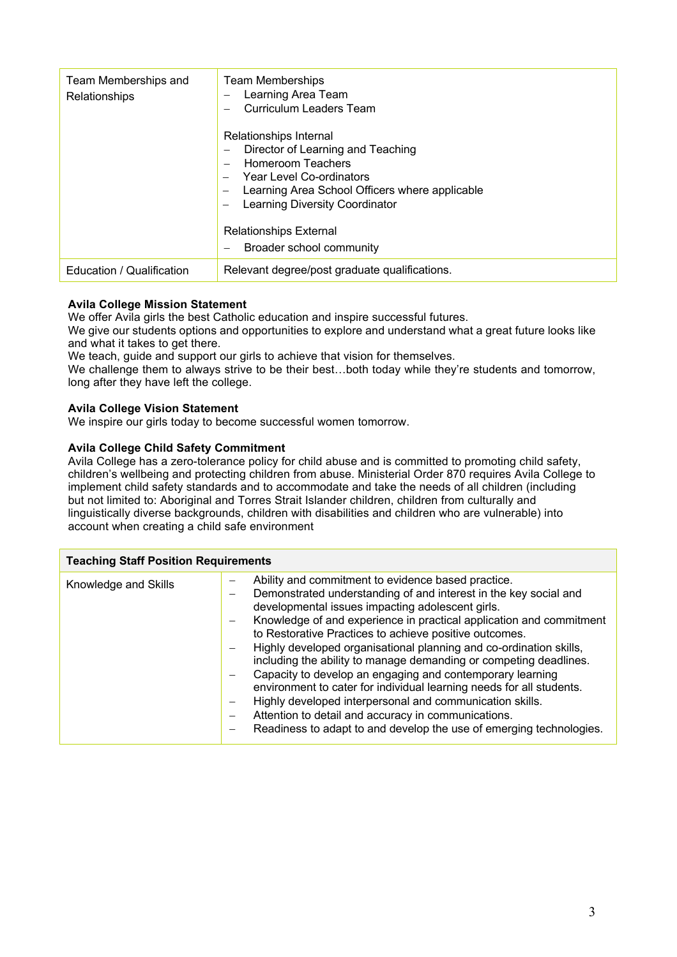| Team Memberships and<br>Relationships | <b>Team Memberships</b><br>Learning Area Team<br>Curriculum Leaders Team<br>Relationships Internal<br>Director of Learning and Teaching<br>Homeroom Teachers<br>Year Level Co-ordinators<br>Learning Area School Officers where applicable<br>Learning Diversity Coordinator<br><b>Relationships External</b><br>Broader school community |
|---------------------------------------|-------------------------------------------------------------------------------------------------------------------------------------------------------------------------------------------------------------------------------------------------------------------------------------------------------------------------------------------|
| Education / Qualification             | Relevant degree/post graduate qualifications.                                                                                                                                                                                                                                                                                             |

### **Avila College Mission Statement**

We offer Avila girls the best Catholic education and inspire successful futures.

We give our students options and opportunities to explore and understand what a great future looks like and what it takes to get there.

We teach, quide and support our girls to achieve that vision for themselves.

We challenge them to always strive to be their best...both today while they're students and tomorrow, long after they have left the college.

## **Avila College Vision Statement**

We inspire our girls today to become successful women tomorrow.

## **Avila College Child Safety Commitment**

Avila College has a zero-tolerance policy for child abuse and is committed to promoting child safety, children's wellbeing and protecting children from abuse. Ministerial Order 870 requires Avila College to implement child safety standards and to accommodate and take the needs of all children (including but not limited to: Aboriginal and Torres Strait Islander children, children from culturally and linguistically diverse backgrounds, children with disabilities and children who are vulnerable) into account when creating a child safe environment

| <b>Teaching Staff Position Requirements</b> |                                                                                                                                                                                                                                                                                                                                                                                                                                                                                                                                                                                                                                                                                                                                                                                       |  |
|---------------------------------------------|---------------------------------------------------------------------------------------------------------------------------------------------------------------------------------------------------------------------------------------------------------------------------------------------------------------------------------------------------------------------------------------------------------------------------------------------------------------------------------------------------------------------------------------------------------------------------------------------------------------------------------------------------------------------------------------------------------------------------------------------------------------------------------------|--|
| Knowledge and Skills                        | Ability and commitment to evidence based practice.<br>Demonstrated understanding of and interest in the key social and<br>developmental issues impacting adolescent girls.<br>Knowledge of and experience in practical application and commitment<br>to Restorative Practices to achieve positive outcomes.<br>Highly developed organisational planning and co-ordination skills,<br>including the ability to manage demanding or competing deadlines.<br>Capacity to develop an engaging and contemporary learning<br>environment to cater for individual learning needs for all students.<br>Highly developed interpersonal and communication skills.<br>Attention to detail and accuracy in communications.<br>Readiness to adapt to and develop the use of emerging technologies. |  |